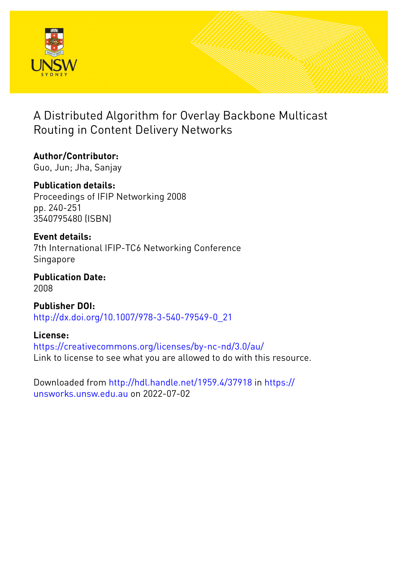

# A Distributed Algorithm for Overlay Backbone Multicast Routing in Content Delivery Networks

**Author/Contributor:** Guo, Jun; Jha, Sanjay

**Publication details:** Proceedings of IFIP Networking 2008 pp. 240-251 3540795480 (ISBN)

**Event details:** 7th International IFIP-TC6 Networking Conference Singapore

**Publication Date:** 2008

**Publisher DOI:** [http://dx.doi.org/10.1007/978-3-540-79549-0\\_21](http://dx.doi.org/http://dx.doi.org/10.1007/978-3-540-79549-0_21)

**License:** <https://creativecommons.org/licenses/by-nc-nd/3.0/au/> Link to license to see what you are allowed to do with this resource.

Downloaded from <http://hdl.handle.net/1959.4/37918> in [https://](https://unsworks.unsw.edu.au) [unsworks.unsw.edu.au](https://unsworks.unsw.edu.au) on 2022-07-02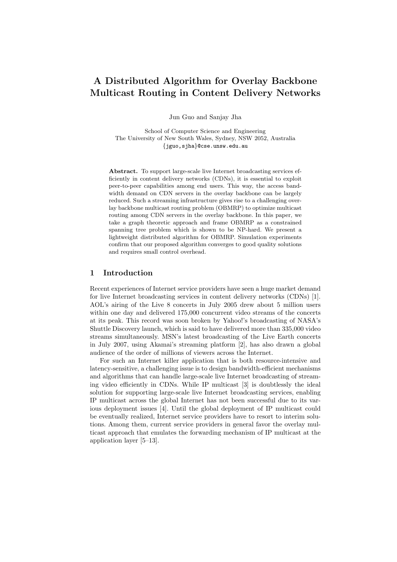# A Distributed Algorithm for Overlay Backbone Multicast Routing in Content Delivery Networks

Jun Guo and Sanjay Jha

School of Computer Science and Engineering The University of New South Wales, Sydney, NSW 2052, Australia {jguo,sjha}@cse.unsw.edu.au

Abstract. To support large-scale live Internet broadcasting services efficiently in content delivery networks (CDNs), it is essential to exploit peer-to-peer capabilities among end users. This way, the access bandwidth demand on CDN servers in the overlay backbone can be largely reduced. Such a streaming infrastructure gives rise to a challenging overlay backbone multicast routing problem (OBMRP) to optimize multicast routing among CDN servers in the overlay backbone. In this paper, we take a graph theoretic approach and frame OBMRP as a constrained spanning tree problem which is shown to be NP-hard. We present a lightweight distributed algorithm for OBMRP. Simulation experiments confirm that our proposed algorithm converges to good quality solutions and requires small control overhead.

# 1 Introduction

Recent experiences of Internet service providers have seen a huge market demand for live Internet broadcasting services in content delivery networks (CDNs) [1]. AOL's airing of the Live 8 concerts in July 2005 drew about 5 million users within one day and delivered 175,000 concurrent video streams of the concerts at its peak. This record was soon broken by Yahoo!'s broadcasting of NASA's Shuttle Discovery launch, which is said to have delivered more than 335,000 video streams simultaneously. MSN's latest broadcasting of the Live Earth concerts in July 2007, using Akamai's streaming platform [2], has also drawn a global audience of the order of millions of viewers across the Internet.

For such an Internet killer application that is both resource-intensive and latency-sensitive, a challenging issue is to design bandwidth-efficient mechanisms and algorithms that can handle large-scale live Internet broadcasting of streaming video efficiently in CDNs. While IP multicast [3] is doubtlessly the ideal solution for supporting large-scale live Internet broadcasting services, enabling IP multicast across the global Internet has not been successful due to its various deployment issues [4]. Until the global deployment of IP multicast could be eventually realized, Internet service providers have to resort to interim solutions. Among them, current service providers in general favor the overlay multicast approach that emulates the forwarding mechanism of IP multicast at the application layer [5–13].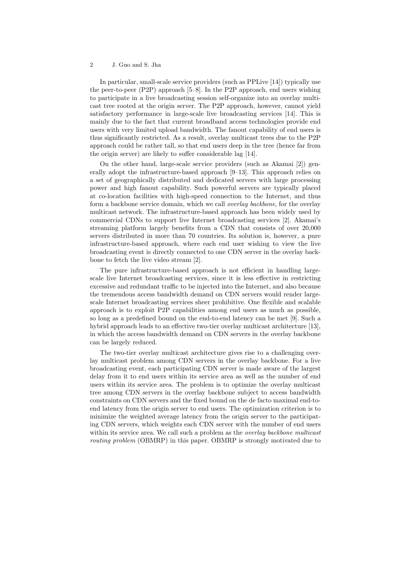#### 2 J. Guo and S. Jha

In particular, small-scale service providers (such as PPLive [14]) typically use the peer-to-peer (P2P) approach [5–8]. In the P2P approach, end users wishing to participate in a live broadcasting session self-organize into an overlay multicast tree rooted at the origin server. The P2P approach, however, cannot yield satisfactory performance in large-scale live broadcasting services [14]. This is mainly due to the fact that current broadband access technologies provide end users with very limited upload bandwidth. The fanout capability of end users is thus significantly restricted. As a result, overlay multicast trees due to the P2P approach could be rather tall, so that end users deep in the tree (hence far from the origin server) are likely to suffer considerable lag [14].

On the other hand, large-scale service providers (such as Akamai [2]) generally adopt the infrastructure-based approach [9–13]. This approach relies on a set of geographically distributed and dedicated servers with large processing power and high fanout capability. Such powerful servers are typically placed at co-location facilities with high-speed connection to the Internet, and thus form a backbone service domain, which we call overlay backbone, for the overlay multicast network. The infrastructure-based approach has been widely used by commercial CDNs to support live Internet broadcasting services [2]. Akamai's streaming platform largely benefits from a CDN that consists of over 20,000 servers distributed in more than 70 countries. Its solution is, however, a pure infrastructure-based approach, where each end user wishing to view the live broadcasting event is directly connected to one CDN server in the overlay backbone to fetch the live video stream [2].

The pure infrastructure-based approach is not efficient in handling largescale live Internet broadcasting services, since it is less effective in restricting excessive and redundant traffic to be injected into the Internet, and also because the tremendous access bandwidth demand on CDN servers would render largescale Internet broadcasting services sheer prohibitive. One flexible and scalable approach is to exploit P2P capabilities among end users as much as possible, so long as a predefined bound on the end-to-end latency can be met [9]. Such a hybrid approach leads to an effective two-tier overlay multicast architecture [13], in which the access bandwidth demand on CDN servers in the overlay backbone can be largely reduced.

The two-tier overlay multicast architecture gives rise to a challenging overlay multicast problem among CDN servers in the overlay backbone. For a live broadcasting event, each participating CDN server is made aware of the largest delay from it to end users within its service area as well as the number of end users within its service area. The problem is to optimize the overlay multicast tree among CDN servers in the overlay backbone subject to access bandwidth constraints on CDN servers and the fixed bound on the de facto maximal end-toend latency from the origin server to end users. The optimization criterion is to minimize the weighted average latency from the origin server to the participating CDN servers, which weights each CDN server with the number of end users within its service area. We call such a problem as the *overlay backbone multicast* routing problem (OBMRP) in this paper. OBMRP is strongly motivated due to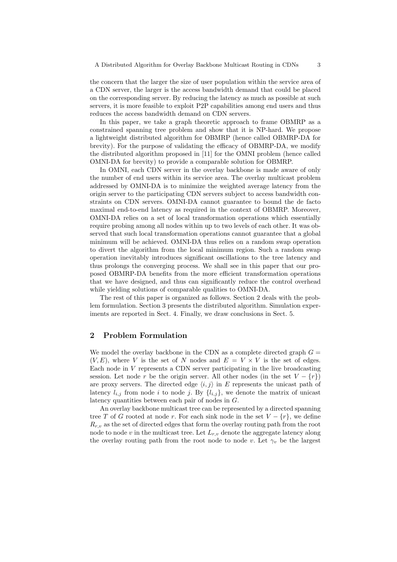the concern that the larger the size of user population within the service area of a CDN server, the larger is the access bandwidth demand that could be placed on the corresponding server. By reducing the latency as much as possible at such servers, it is more feasible to exploit P2P capabilities among end users and thus reduces the access bandwidth demand on CDN servers.

In this paper, we take a graph theoretic approach to frame OBMRP as a constrained spanning tree problem and show that it is NP-hard. We propose a lightweight distributed algorithm for OBMRP (hence called OBMRP-DA for brevity). For the purpose of validating the efficacy of OBMRP-DA, we modify the distributed algorithm proposed in [11] for the OMNI problem (hence called OMNI-DA for brevity) to provide a comparable solution for OBMRP.

In OMNI, each CDN server in the overlay backbone is made aware of only the number of end users within its service area. The overlay multicast problem addressed by OMNI-DA is to minimize the weighted average latency from the origin server to the participating CDN servers subject to access bandwidth constraints on CDN servers. OMNI-DA cannot guarantee to bound the de facto maximal end-to-end latency as required in the context of OBMRP. Moreover, OMNI-DA relies on a set of local transformation operations which essentially require probing among all nodes within up to two levels of each other. It was observed that such local transformation operations cannot guarantee that a global minimum will be achieved. OMNI-DA thus relies on a random swap operation to divert the algorithm from the local minimum region. Such a random swap operation inevitably introduces significant oscillations to the tree latency and thus prolongs the converging process. We shall see in this paper that our proposed OBMRP-DA benefits from the more efficient transformation operations that we have designed, and thus can significantly reduce the control overhead while yielding solutions of comparable qualities to OMNI-DA.

The rest of this paper is organized as follows. Section 2 deals with the problem formulation. Section 3 presents the distributed algorithm. Simulation experiments are reported in Sect. 4. Finally, we draw conclusions in Sect. 5.

# 2 Problem Formulation

We model the overlay backbone in the CDN as a complete directed graph  $G =$  $(V, E)$ , where V is the set of N nodes and  $E = V \times V$  is the set of edges. Each node in V represents a CDN server participating in the live broadcasting session. Let node r be the origin server. All other nodes (in the set  $V - \{r\}$ ) are proxy servers. The directed edge  $\langle i, j \rangle$  in E represents the unicast path of latency  $l_{i,j}$  from node i to node j. By  $\{l_{i,j}\}\$ , we denote the matrix of unicast latency quantities between each pair of nodes in G.

An overlay backbone multicast tree can be represented by a directed spanning tree T of G rooted at node r. For each sink node in the set  $V - \{r\}$ , we define  $R_{r,v}$  as the set of directed edges that form the overlay routing path from the root node to node v in the multicast tree. Let  $L_{r,v}$  denote the aggregate latency along the overlay routing path from the root node to node v. Let  $\gamma_v$  be the largest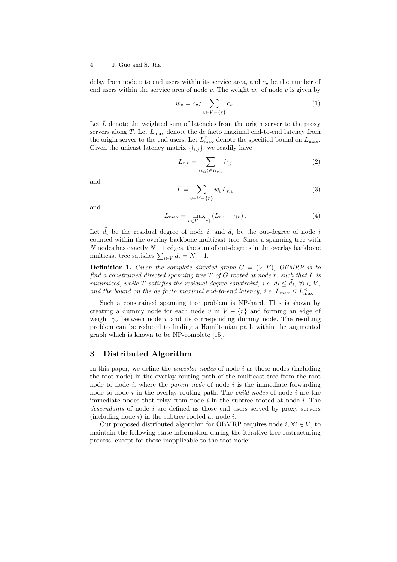delay from node v to end users within its service area, and  $c_v$  be the number of end users within the service area of node v. The weight  $w<sub>v</sub>$  of node v is given by

$$
w_v = c_v / \sum_{v \in V - \{r\}} c_v.
$$
\n
$$
(1)
$$

Let  $\bar{L}$  denote the weighted sum of latencies from the origin server to the proxy servers along  $T$ . Let  $L_{\text{max}}$  denote the de facto maximal end-to-end latency from the origin server to the end users. Let  $L_{\text{max}}^{\text{B}}$  denote the specified bound on  $L_{\text{max}}$ . Given the unicast latency matrix  $\{l_{i,j}\}\,$ , we readily have

$$
L_{r,v} = \sum_{\langle i,j\rangle \in R_{r,v}} l_{i,j} \tag{2}
$$

and

$$
\bar{L} = \sum_{v \in V - \{r\}} w_v L_{r,v} \tag{3}
$$

and

$$
L_{\max} = \max_{v \in V - \{r\}} \left( L_{r,v} + \gamma_v \right). \tag{4}
$$

Let  $\tilde{d}_i$  be the residual degree of node i, and  $d_i$  be the out-degree of node i counted within the overlay backbone multicast tree. Since a spanning tree with N nodes has exactly  $N-1$  edges, the sum of out-degrees in the overlay backbone N houes has exactly  $N-1$  edges, the sum<br>multicast tree satisfies  $\sum_{i\in V} d_i = N-1$ .

**Definition 1.** Given the complete directed graph  $G = (V, E)$ . OBMRP is to find a constrained directed spanning tree T of G rooted at node r, such that  $\overline{L}$  is minimized, while T satisfies the residual degree constraint, i.e.  $d_i \leq d_i$ ,  $\forall i \in V$ , and the bound on the de facto maximal end-to-end latency, i.e.  $L_{\text{max}} \leq L_{\text{max}}^{\text{B}}$ .

Such a constrained spanning tree problem is NP-hard. This is shown by creating a dummy node for each node v in  $V - \{r\}$  and forming an edge of weight  $\gamma_v$  between node v and its corresponding dummy node. The resulting problem can be reduced to finding a Hamiltonian path within the augmented graph which is known to be NP-complete [15].

## 3 Distributed Algorithm

In this paper, we define the *ancestor nodes* of node i as those nodes (including the root node) in the overlay routing path of the multicast tree from the root node to node  $i$ , where the *parent node* of node  $i$  is the immediate forwarding node to node  $i$  in the overlay routing path. The *child nodes* of node  $i$  are the immediate nodes that relay from node  $i$  in the subtree rooted at node  $i$ . The descendants of node  $i$  are defined as those end users served by proxy servers  $(including node i)$  in the subtree rooted at node i.

Our proposed distributed algorithm for OBMRP requires node  $i, \forall i \in V$ , to maintain the following state information during the iterative tree restructuring process, except for those inapplicable to the root node: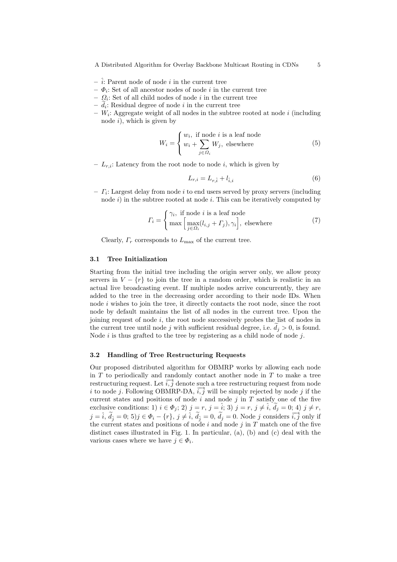- A Distributed Algorithm for Overlay Backbone Multicast Routing in CDNs  $5$
- $i$ : Parent node of node i in the current tree
- $\Phi_i$ : Set of all ancestor nodes of node i in the current tree
- $\Omega_i$ : Set of all child nodes of node i in the current tree
- $\tilde{d}_i$ : Residual degree of node i in the current tree
- $W_i$ : Aggregate weight of all nodes in the subtree rooted at node i (including node  $i$ ), which is given by

$$
W_i = \begin{cases} w_i, & \text{if node } i \text{ is a leaf node} \\ w_i + \sum_{j \in \Omega_i} W_j, & \text{elsewhere} \end{cases} \tag{5}
$$

–  $L_{r,i}$ : Latency from the root node to node i, which is given by

$$
L_{r,i} = L_{r,\hat{i}} + l_{\hat{i},i} \tag{6}
$$

 $-I_i$ : Largest delay from node i to end users served by proxy servers (including node  $i$ ) in the subtree rooted at node  $i$ . This can be iteratively computed by

$$
\Gamma_i = \begin{cases} \gamma_i, & \text{if node } i \text{ is a leaf node} \\ \max\left[\max_{j \in \Omega_i} (l_{i,j} + \Gamma_j), \gamma_i\right], & \text{elsewhere} \end{cases} \tag{7}
$$

Clearly,  $\Gamma_r$  corresponds to  $L_{\text{max}}$  of the current tree.

#### 3.1 Tree Initialization

Starting from the initial tree including the origin server only, we allow proxy servers in  $V - \{r\}$  to join the tree in a random order, which is realistic in an actual live broadcasting event. If multiple nodes arrive concurrently, they are added to the tree in the decreasing order according to their node IDs. When node i wishes to join the tree, it directly contacts the root node, since the root node by default maintains the list of all nodes in the current tree. Upon the joining request of node  $i$ , the root node successively probes the list of nodes in the current tree until node j with sufficient residual degree, i.e.  $d_i > 0$ , is found. Node  $i$  is thus grafted to the tree by registering as a child node of node  $j$ .

#### 3.2 Handling of Tree Restructuring Requests

Our proposed distributed algorithm for OBMRP works by allowing each node in  $T$  to periodically and randomly contact another node in  $T$  to make a tree restructuring request. Let  $\overline{i,j}$  denote such a tree restructuring request from node i to node j. Following OBMRP-DA,  $\overrightarrow{i,j}$  will be simply rejected by node j if the current states and positions of node  $i$  and node  $j$  in  $T$  satisfy one of the five exclusive conditions: 1)  $i \in \Phi_j$ ; 2)  $j = r, j = \hat{i}$ ; 3)  $j = r, j \neq \hat{i}$ ,  $\widetilde{d}_j = 0$ ; 4)  $j \neq r$ ,  $j = \hat{i}, \tilde{d}_{\hat{i}} = 0; 5j \in \Phi_i - \{r\}, j \neq \hat{i}, \tilde{d}_{\hat{i}} = 0, \tilde{d}_j = 0.$  Node j considers  $\overrightarrow{i,j}$  only if the current states and positions of node  $i$  and node  $j$  in  $T$  match one of the five distinct cases illustrated in Fig. 1. In particular, (a), (b) and (c) deal with the various cases where we have  $j \in \Phi_i$ .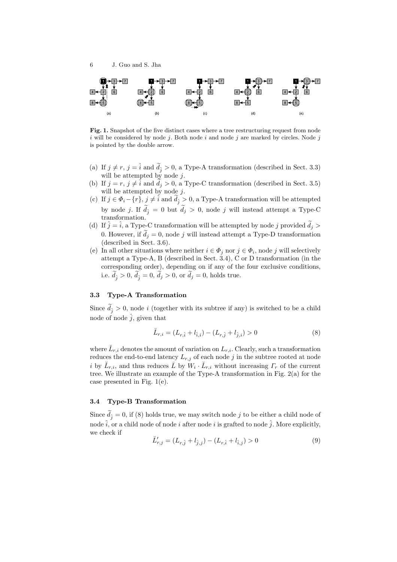

Fig. 1. Snapshot of the five distinct cases where a tree restructuring request from node i will be considered by node j. Both node i and node j are marked by circles. Node j is pointed by the double arrow.

- (a) If  $j \neq r$ ,  $j = \hat{i}$  and  $\tilde{d}_{\hat{j}} > 0$ , a Type-A transformation (described in Sect. 3.3) will be attempted by node  $j$ .
- (b) If  $j = r$ ,  $j \neq \hat{i}$  and  $d_j > 0$ , a Type-C transformation (described in Sect. 3.5) will be attempted by node  $j$ .
- (c) If  $j \in \Phi_i \{r\}$ ,  $j \neq \hat{i}$  and  $\tilde{d}_i > 0$ , a Type-A transformation will be attempted by node j. If  $\tilde{d}_j = 0$  but  $\tilde{d}_j > 0$ , node j will instead attempt a Type-C transformation.
- (d) If  $\hat{j} = \hat{i}$ , a Type-C transformation will be attempted by node j provided  $\tilde{d}_i$ 0. However, if  $d_i = 0$ , node j will instead attempt a Type-D transformation (described in Sect. 3.6).
- (e) In all other situations where neither  $i \in \Phi_j$  nor  $j \in \Phi_i$ , node j will selectively attempt a Type-A, B (described in Sect. 3.4), C or D transformation (in the corresponding order), depending on if any of the four exclusive conditions, i.e.  $d_{\hat{i}} > 0$ ,  $d_{\hat{i}} = 0$ ,  $d_j > 0$ , or  $d_j = 0$ , holds true.

## 3.3 Type-A Transformation

Since  $\tilde{d}_{\hat{i}} > 0$ , node *i* (together with its subtree if any) is switched to be a child node of node  $\hat{i}$ , given that

$$
\breve{L}_{r,i} = (L_{r,\hat{i}} + l_{\hat{i},i}) - (L_{r,\hat{j}} + l_{\hat{j},i}) > 0
$$
\n(8)

where  $\breve{L}_{r,i}$  denotes the amount of variation on  $L_{r,i}$ . Clearly, such a transformation reduces the end-to-end latency  $L_{r,j}$  of each node j in the subtree rooted at node i by  $\check{L}_{r,i}$ , and thus reduces  $\bar{L}$  by  $\check{W}_i \cdot \check{L}_{r,i}$  without increasing  $\Gamma_r$  of the current tree. We illustrate an example of the Type-A transformation in Fig. 2(a) for the case presented in Fig. 1(e).

#### 3.4 Type-B Transformation

Since  $\tilde{d}_{\hat{i}} = 0$ , if (8) holds true, we may switch node j to be either a child node of node  $\hat{i},$  or a child node of node  $i$  after node  $i$  is grafted to node  $\hat{j}.$  More explicitly, we check if

$$
\breve{L}'_{r,j} = (L_{r,\hat{j}} + l_{\hat{j},j}) - (L_{r,\hat{i}} + l_{\hat{i},j}) > 0 \tag{9}
$$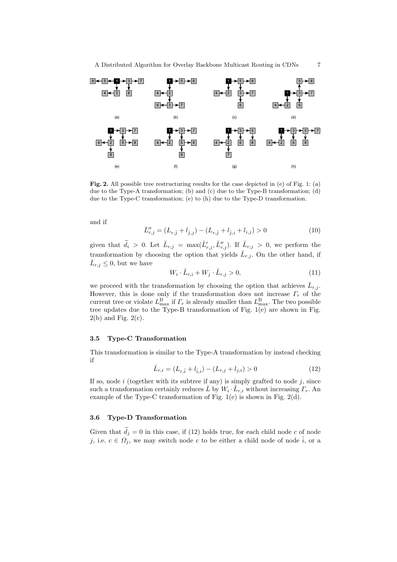

Fig. 2. All possible tree restructuring results for the case depicted in (e) of Fig. 1: (a) due to the Type-A transformation; (b) and (c) due to the Type-B transformation; (d) due to the Type-C transformation; (e) to (h) due to the Type-D transformation.

and if

$$
\breve{L}''_{r,j} = (L_{r,\hat{j}} + l_{\hat{j},j}) - (L_{r,\hat{j}} + l_{\hat{j},i} + l_{i,j}) > 0 \tag{10}
$$

given that  $\tilde{d}_i > 0$ . Let  $\breve{L}_{r,j} = \max(\breve{L}'_{r,j}, \breve{L}''_{r,j})$ . If  $\breve{L}_{r,j} > 0$ , we perform the transformation by choosing the option that yields  $\check{L}_{r,j}$ . On the other hand, if  $\breve{L}_{r,j} \leq 0$ , but we have

$$
W_i \cdot \breve{L}_{r,i} + W_j \cdot \breve{L}_{r,j} > 0,\tag{11}
$$

we proceed with the transformation by choosing the option that achieves  $\check{L}_{r,j}$ . However, this is done only if the transformation does not increase  $\Gamma_r$  of the current tree or violate  $L_{\text{max}}^{\text{B}}$  if  $\Gamma_r$  is already smaller than  $L_{\text{max}}^{\text{B}}$ . The two possible tree updates due to the Type-B transformation of Fig. 1(e) are shown in Fig.  $2(b)$  and Fig.  $2(c)$ .

#### 3.5 Type-C Transformation

This transformation is similar to the Type-A transformation by instead checking if

$$
\breve{L}_{r,i} = (L_{r,\hat{i}} + l_{\hat{i},i}) - (L_{r,j} + l_{j,i}) > 0 \tag{12}
$$

If so, node  $i$  (together with its subtree if any) is simply grafted to node  $j$ , since such a transformation certainly reduces  $\bar{L}$  by  $W_i \cdot \breve{L}_{r,i}$  without increasing  $\Gamma_r$ . An example of the Type-C transformation of Fig. 1(e) is shown in Fig. 2(d).

#### 3.6 Type-D Transformation

Given that  $d_j = 0$  in this case, if (12) holds true, for each child node c of node j, i.e.  $c \in \Omega_j$ , we may switch node c to be either a child node of node  $\hat{i}$ , or a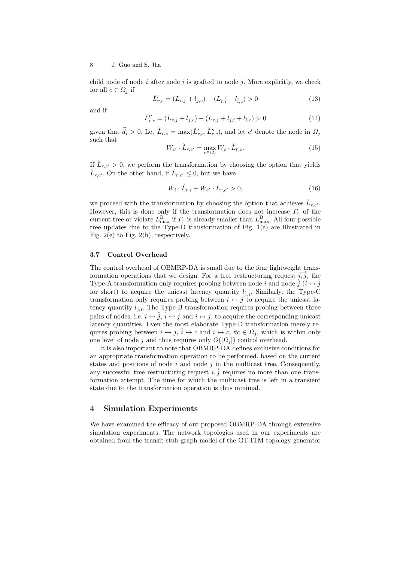#### 8 J. Guo and S. Jha

child node of node i after node i is grafted to node j. More explicitly, we check for all  $c \in \Omega_i$  if

$$
\breve{L}'_{r,c} = (L_{r,j} + l_{j,c}) - (L_{r,\hat{i}} + l_{\hat{i},c}) > 0 \tag{13}
$$

and if

$$
\breve{L}''_{r,c} = (L_{r,j} + l_{j,c}) - (L_{r,j} + l_{j,i} + l_{i,c}) > 0 \tag{14}
$$

given that  $\tilde{d}_i > 0$ . Let  $\breve{L}_{r,c} = \max(\breve{L}'_{r,c}, \breve{L}''_{r,c})$ , and let c' denote the node in  $\Omega_j$ such that

$$
W_{c'} \cdot \breve{L}_{r,c'} = \max_{c \in \Omega_j} W_c \cdot \breve{L}_{r,c}.
$$
\n(15)

If  $\tilde{L}_{r,c'} > 0$ , we perform the transformation by choosing the option that yields  $\check{L}_{r,c'}$ . On the other hand, if  $\check{L}_{r,c'} \leq 0$ , but we have

$$
W_i \cdot \breve{L}_{r,i} + W_{c'} \cdot \breve{L}_{r,c'} > 0,\t\t(16)
$$

we proceed with the transformation by choosing the option that achieves  $\check{L}_{r,c'}$ . However, this is done only if the transformation does not increase  $\Gamma_r$  of the current tree or violate  $L_{\text{max}}^{\text{B}}$  if  $\Gamma_r$  is already smaller than  $L_{\text{max}}^{\text{B}}$ . All four possible tree updates due to the Type-D transformation of Fig. 1(e) are illustrated in Fig.  $2(e)$  to Fig.  $2(h)$ , respectively.

#### 3.7 Control Overhead

The control overhead of OBMRP-DA is small due to the four lightweight transformation operations that we design. For a tree restructuring request  $\overrightarrow{i,j}$ , the Type-A transformation only requires probing between node i and node  $\hat{j}$  ( $i \leftrightarrow \hat{j}$ for short) to acquire the unicast latency quantity  $l_{\hat{j},i}$ . Similarly, the Type-C transformation only requires probing between  $i \leftrightarrow j$  to acquire the unicast latency quantity  $l_{j,i}$ . The Type-B transformation requires probing between three pairs of nodes, i.e.  $i \leftrightarrow \hat{j}$ ,  $\hat{i} \leftrightarrow j$  and  $i \leftrightarrow j$ , to acquire the corresponding unicast latency quantities. Even the most elaborate Type-D transformation merely requires probing between  $i \leftrightarrow j$ ,  $\hat{i} \leftrightarrow c$  and  $i \leftrightarrow c$ ,  $\forall c \in \Omega_i$ , which is within only one level of node j and thus requires only  $O(|\Omega_i|)$  control overhead.

It is also important to note that OBMRP-DA defines exclusive conditions for an appropriate transformation operation to be performed, based on the current states and positions of node  $i$  and node  $j$  in the multicast tree. Consequently, any successful tree restructuring request  $i, j$  requires no more than one transformation attempt. The time for which the multicast tree is left in a transient state due to the transformation operation is thus minimal.

#### 4 Simulation Experiments

We have examined the efficacy of our proposed OBMRP-DA through extensive simulation experiments. The network topologies used in our experiments are obtained from the transit-stub graph model of the GT-ITM topology generator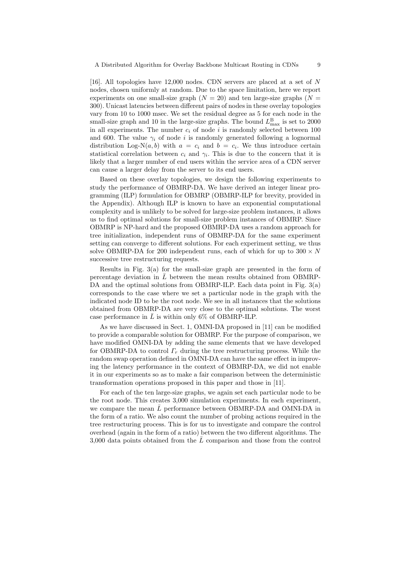[16]. All topologies have 12,000 nodes. CDN servers are placed at a set of N nodes, chosen uniformly at random. Due to the space limitation, here we report experiments on one small-size graph  $(N = 20)$  and ten large-size graphs  $(N = 10)$ 300). Unicast latencies between different pairs of nodes in these overlay topologies vary from 10 to 1000 msec. We set the residual degree as 5 for each node in the small-size graph and 10 in the large-size graphs. The bound  $L_{\text{max}}^{\text{B}}$  is set to 2000 in all experiments. The number  $c_i$  of node i is randomly selected between 100 and 600. The value  $\gamma_i$  of node i is randomly generated following a lognormal distribution Log-N $(a, b)$  with  $a = c_i$  and  $b = c_i$ . We thus introduce certain statistical correlation between  $c_i$  and  $\gamma_i$ . This is due to the concern that it is likely that a larger number of end users within the service area of a CDN server can cause a larger delay from the server to its end users.

Based on these overlay topologies, we design the following experiments to study the performance of OBMRP-DA. We have derived an integer linear programming (ILP) formulation for OBMRP (OBMRP-ILP for brevity, provided in the Appendix). Although ILP is known to have an exponential computational complexity and is unlikely to be solved for large-size problem instances, it allows us to find optimal solutions for small-size problem instances of OBMRP. Since OBMRP is NP-hard and the proposed OBMRP-DA uses a random approach for tree initialization, independent runs of OBMRP-DA for the same experiment setting can converge to different solutions. For each experiment setting, we thus solve OBMRP-DA for 200 independent runs, each of which for up to  $300 \times N$ successive tree restructuring requests.

Results in Fig. 3(a) for the small-size graph are presented in the form of percentage deviation in  $\overline{L}$  between the mean results obtained from OBMRP-DA and the optimal solutions from OBMRP-ILP. Each data point in Fig. 3(a) corresponds to the case where we set a particular node in the graph with the indicated node ID to be the root node. We see in all instances that the solutions obtained from OBMRP-DA are very close to the optimal solutions. The worst case performance in  $\overline{L}$  is within only 6% of OBMRP-ILP.

As we have discussed in Sect. 1, OMNI-DA proposed in [11] can be modified to provide a comparable solution for OBMRP. For the purpose of comparison, we have modified OMNI-DA by adding the same elements that we have developed for OBMRP-DA to control  $\Gamma_r$  during the tree restructuring process. While the random swap operation defined in OMNI-DA can have the same effect in improving the latency performance in the context of OBMRP-DA, we did not enable it in our experiments so as to make a fair comparison between the deterministic transformation operations proposed in this paper and those in [11].

For each of the ten large-size graphs, we again set each particular node to be the root node. This creates 3,000 simulation experiments. In each experiment, we compare the mean  $\bar{L}$  performance between OBMRP-DA and OMNI-DA in the form of a ratio. We also count the number of probing actions required in the tree restructuring process. This is for us to investigate and compare the control overhead (again in the form of a ratio) between the two different algorithms. The 3,000 data points obtained from the  $\overline{L}$  comparison and those from the control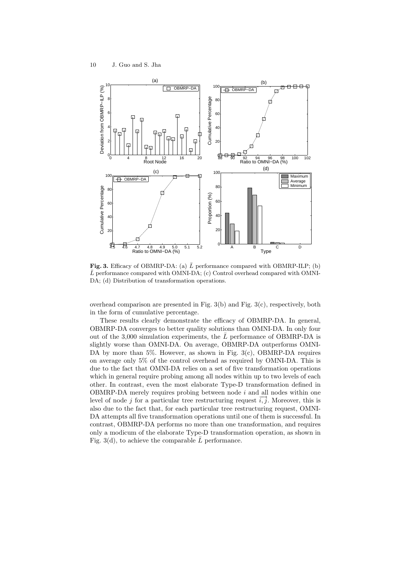

Fig. 3. Efficacy of OBMRP-DA: (a)  $\overline{L}$  performance compared with OBMRP-ILP; (b)  $\overline{L}$  performance compared with OMNI-DA; (c) Control overhead compared with OMNI-DA; (d) Distribution of transformation operations.

overhead comparison are presented in Fig. 3(b) and Fig. 3(c), respectively, both in the form of cumulative percentage.

These results clearly demonstrate the efficacy of OBMRP-DA. In general, OBMRP-DA converges to better quality solutions than OMNI-DA. In only four out of the 3,000 simulation experiments, the  $\overline{L}$  performance of OBMRP-DA is slightly worse than OMNI-DA. On average, OBMRP-DA outperforms OMNI-DA by more than 5%. However, as shown in Fig. 3(c), OBMRP-DA requires on average only 5% of the control overhead as required by OMNI-DA. This is due to the fact that OMNI-DA relies on a set of five transformation operations which in general require probing among all nodes within up to two levels of each other. In contrast, even the most elaborate Type-D transformation defined in OBMRP-DA merely requires probing between node  $i$  and all nodes within one level of node j for a particular tree restructuring request  $\overrightarrow{i,j}$ . Moreover, this is also due to the fact that, for each particular tree restructuring request, OMNI-DA attempts all five transformation operations until one of them is successful. In contrast, OBMRP-DA performs no more than one transformation, and requires only a modicum of the elaborate Type-D transformation operation, as shown in Fig. 3(d), to achieve the comparable  $\overline{L}$  performance.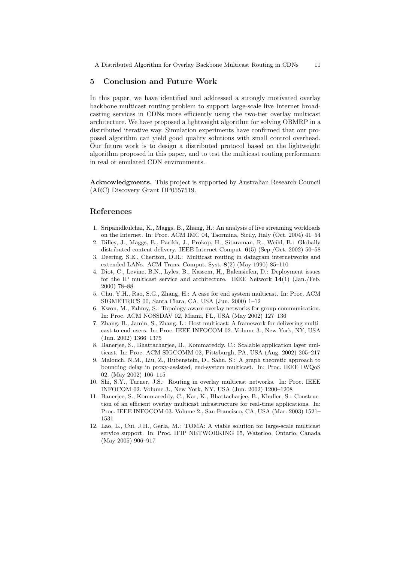A Distributed Algorithm for Overlay Backbone Multicast Routing in CDNs 11

# 5 Conclusion and Future Work

In this paper, we have identified and addressed a strongly motivated overlay backbone multicast routing problem to support large-scale live Internet broadcasting services in CDNs more efficiently using the two-tier overlay multicast architecture. We have proposed a lightweight algorithm for solving OBMRP in a distributed iterative way. Simulation experiments have confirmed that our proposed algorithm can yield good quality solutions with small control overhead. Our future work is to design a distributed protocol based on the lightweight algorithm proposed in this paper, and to test the multicast routing performance in real or emulated CDN environments.

Acknowledgments. This project is supported by Australian Research Council (ARC) Discovery Grant DP0557519.

# References

- 1. Sripanidkulchai, K., Maggs, B., Zhang, H.: An analysis of live streaming workloads on the Internet. In: Proc. ACM IMC 04, Taormina, Sicily, Italy (Oct. 2004) 41–54
- 2. Dilley, J., Maggs, B., Parikh, J., Prokop, H., Sitaraman, R., Weihl, B.: Globally distributed content delivery. IEEE Internet Comput. 6(5) (Sep./Oct. 2002) 50–58
- 3. Deering, S.E., Cheriton, D.R.: Multicast routing in datagram internetworks and extended LANs. ACM Trans. Comput. Syst. 8(2) (May 1990) 85–110
- 4. Diot, C., Levine, B.N., Lyles, B., Kassem, H., Balensiefen, D.: Deployment issues for the IP multicast service and architecture. IEEE Network  $14(1)$  (Jan./Feb. 2000) 78–88
- 5. Chu, Y.H., Rao, S.G., Zhang, H.: A case for end system multicast. In: Proc. ACM SIGMETRICS 00, Santa Clara, CA, USA (Jun. 2000) 1–12
- 6. Kwon, M., Fahmy, S.: Topology-aware overlay networks for group communication. In: Proc. ACM NOSSDAV 02, Miami, FL, USA (May 2002) 127–136
- 7. Zhang, B., Jamin, S., Zhang, L.: Host multicast: A framework for delivering multicast to end users. In: Proc. IEEE INFOCOM 02. Volume 3., New York, NY, USA (Jun. 2002) 1366–1375
- 8. Banerjee, S., Bhattacharjee, B., Kommareddy, C.: Scalable application layer multicast. In: Proc. ACM SIGCOMM 02, Pittsburgh, PA, USA (Aug. 2002) 205–217
- 9. Malouch, N.M., Liu, Z., Rubenstein, D., Sahu, S.: A graph theoretic approach to bounding delay in proxy-assisted, end-system multicast. In: Proc. IEEE IWQoS 02. (May 2002) 106–115
- 10. Shi, S.Y., Turner, J.S.: Routing in overlay multicast networks. In: Proc. IEEE INFOCOM 02. Volume 3., New York, NY, USA (Jun. 2002) 1200–1208
- 11. Banerjee, S., Kommareddy, C., Kar, K., Bhattacharjee, B., Khuller, S.: Construction of an efficient overlay multicast infrastructure for real-time applications. In: Proc. IEEE INFOCOM 03. Volume 2., San Francisco, CA, USA (Mar. 2003) 1521– 1531
- 12. Lao, L., Cui, J.H., Gerla, M.: TOMA: A viable solution for large-scale multicast service support. In: Proc. IFIP NETWORKING 05, Waterloo, Ontario, Canada (May 2005) 906–917